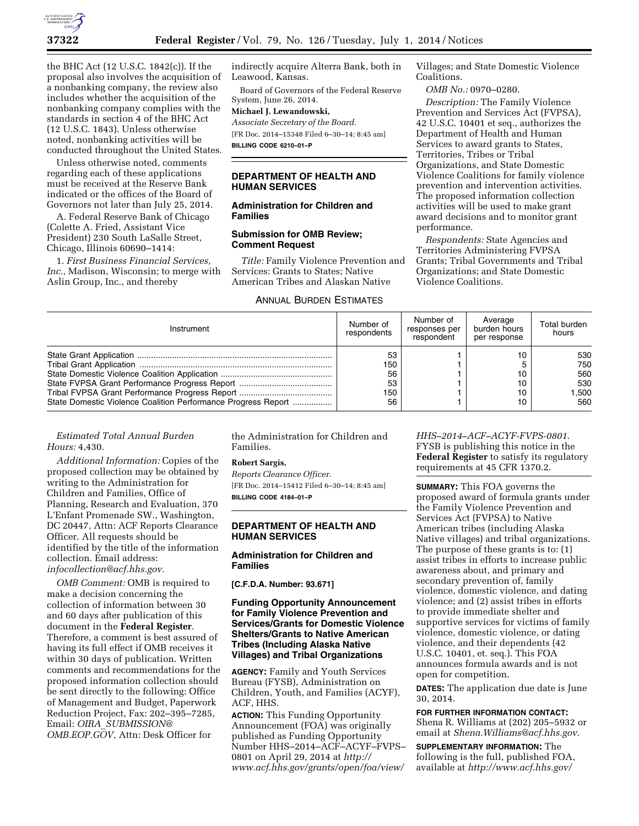

the BHC Act (12 U.S.C. 1842(c)). If the proposal also involves the acquisition of a nonbanking company, the review also includes whether the acquisition of the nonbanking company complies with the standards in section 4 of the BHC Act (12 U.S.C. 1843). Unless otherwise noted, nonbanking activities will be conducted throughout the United States.

Unless otherwise noted, comments regarding each of these applications must be received at the Reserve Bank indicated or the offices of the Board of Governors not later than July 25, 2014.

A. Federal Reserve Bank of Chicago (Colette A. Fried, Assistant Vice President) 230 South LaSalle Street, Chicago, Illinois 60690–1414:

1. *First Business Financial Services, Inc.,* Madison, Wisconsin; to merge with Aslin Group, Inc., and thereby

indirectly acquire Alterra Bank, both in Leawood, Kansas.

Board of Governors of the Federal Reserve System, June 26, 2014.

### **Michael J. Lewandowski,**

*Associate Secretary of the Board.*  [FR Doc. 2014–15348 Filed 6–30–14; 8:45 am] **BILLING CODE 6210–01–P** 

## **DEPARTMENT OF HEALTH AND HUMAN SERVICES**

# **Administration for Children and Families**

## **Submission for OMB Review; Comment Request**

*Title:* Family Violence Prevention and Services: Grants to States; Native American Tribes and Alaskan Native

# ANNUAL BURDEN ESTIMATES

Villages; and State Domestic Violence Coalitions.

*OMB No.:* 0970–0280.

*Description:* The Family Violence Prevention and Services Act (FVPSA), 42 U.S.C. 10401 et seq., authorizes the Department of Health and Human Services to award grants to States, Territories, Tribes or Tribal Organizations, and State Domestic Violence Coalitions for family violence prevention and intervention activities. The proposed information collection activities will be used to make grant award decisions and to monitor grant performance.

*Respondents:* State Agencies and Territories Administering FVPSA Grants; Tribal Governments and Tribal Organizations; and State Domestic Violence Coalitions.

| Instrument                                                    | Number of<br>respondents           | Number of<br>responses per<br>respondent | Average<br>burden hours<br>per response | Total burden<br>hours                   |
|---------------------------------------------------------------|------------------------------------|------------------------------------------|-----------------------------------------|-----------------------------------------|
| State Domestic Violence Coalition Performance Progress Report | 53<br>150<br>56<br>53<br>150<br>56 |                                          | 10<br>10<br>10<br>10<br>10              | 530<br>750<br>560<br>530<br>.500<br>560 |

# *Estimated Total Annual Burden Hours:* 4,430.

*Additional Information:* Copies of the proposed collection may be obtained by writing to the Administration for Children and Families, Office of Planning, Research and Evaluation, 370 L'Enfant Promenade SW., Washington, DC 20447, Attn: ACF Reports Clearance Officer. All requests should be identified by the title of the information collection. Email address: *[infocollection@acf.hhs.gov.](mailto:infocollection@acf.hhs.gov)* 

*OMB Comment:* OMB is required to make a decision concerning the collection of information between 30 and 60 days after publication of this document in the **Federal Register**. Therefore, a comment is best assured of having its full effect if OMB receives it within 30 days of publication. Written comments and recommendations for the proposed information collection should be sent directly to the following: Office of Management and Budget, Paperwork Reduction Project, Fax: 202–395–7285, Email: *OIRA*\_*[SUBMISSION@](mailto:OIRA_SUBMISSION@OMB.EOP.GOV) [OMB.EOP.GOV,](mailto:OIRA_SUBMISSION@OMB.EOP.GOV)* Attn: Desk Officer for

the Administration for Children and Families.

# **Robert Sargis,**

*Reports Clearance Officer.*  [FR Doc. 2014–15412 Filed 6–30–14; 8:45 am] **BILLING CODE 4184–01–P** 

### **DEPARTMENT OF HEALTH AND HUMAN SERVICES**

# **Administration for Children and Families**

**[C.F.D.A. Number: 93.671]** 

## **Funding Opportunity Announcement for Family Violence Prevention and Services/Grants for Domestic Violence Shelters/Grants to Native American Tribes (Including Alaska Native Villages) and Tribal Organizations**

**AGENCY:** Family and Youth Services Bureau (FYSB), Administration on Children, Youth, and Families (ACYF), ACF, HHS.

**ACTION:** This Funding Opportunity Announcement (FOA) was originally published as Funding Opportunity Number HHS–2014–ACF–ACYF–FVPS– 0801 on April 29, 2014 at *[http://](http://www.acf.hhs.gov/grants/open/foa/view/HHS-2014-ACF-ACYF-FVPS-0801) [www.acf.hhs.gov/grants/open/foa/view/](http://www.acf.hhs.gov/grants/open/foa/view/HHS-2014-ACF-ACYF-FVPS-0801)*

*[HHS–2014–ACF–ACYF-FVPS-0801](http://www.acf.hhs.gov/grants/open/foa/view/HHS-2014-ACF-ACYF-FVPS-0801)*. FYSB is publishing this notice in the **Federal Register** to satisfy its regulatory requirements at 45 CFR 1370.2.

**SUMMARY:** This FOA governs the proposed award of formula grants under the Family Violence Prevention and Services Act (FVPSA) to Native American tribes (including Alaska Native villages) and tribal organizations. The purpose of these grants is to: (1) assist tribes in efforts to increase public awareness about, and primary and secondary prevention of, family violence, domestic violence, and dating violence; and (2) assist tribes in efforts to provide immediate shelter and supportive services for victims of family violence, domestic violence, or dating violence, and their dependents (42 U.S.C. 10401, et. seq.). This FOA announces formula awards and is not open for competition.

**DATES:** The application due date is June 30, 2014.

**FOR FURTHER INFORMATION CONTACT:**  Shena R. Williams at (202) 205–5932 or email at *[Shena.Williams@acf.hhs.gov](mailto:Shena.Williams@acf.hhs.gov)*.

**SUPPLEMENTARY INFORMATION:** The following is the full, published FOA, available at *[http://www.acf.hhs.gov/](http://www.acf.hhs.gov/grants/open/foa/view/HHS-2014-ACF-ACYF-FVPS-0801)*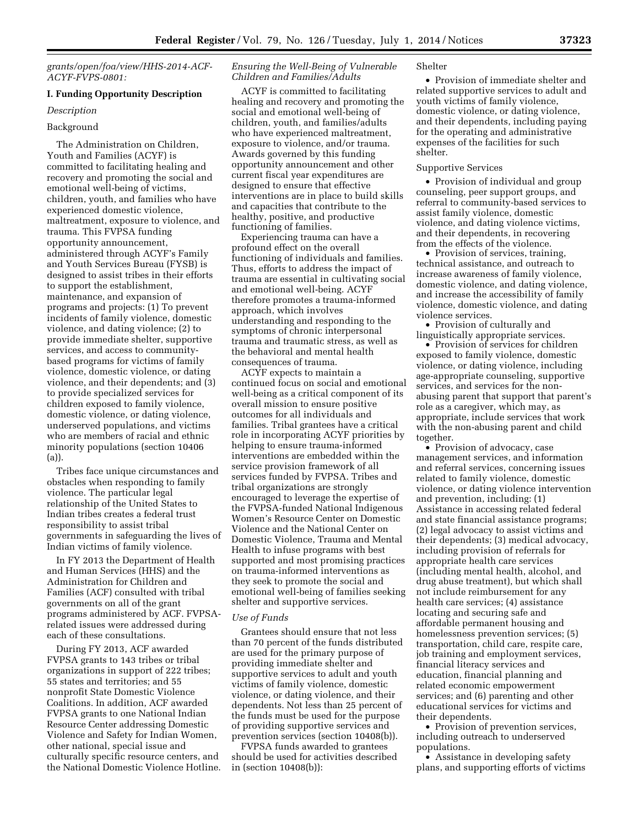*[grants/open/foa/view/HHS-2014-ACF-](http://www.acf.hhs.gov/grants/open/foa/view/HHS-2014-ACF-ACYF-FVPS-0801)[ACYF-FVPS-0801:](http://www.acf.hhs.gov/grants/open/foa/view/HHS-2014-ACF-ACYF-FVPS-0801)* 

# **I. Funding Opportunity Description**

### *Description*

# Background

The Administration on Children, Youth and Families (ACYF) is committed to facilitating healing and recovery and promoting the social and emotional well-being of victims, children, youth, and families who have experienced domestic violence, maltreatment, exposure to violence, and trauma. This FVPSA funding opportunity announcement, administered through ACYF's Family and Youth Services Bureau (FYSB) is designed to assist tribes in their efforts to support the establishment, maintenance, and expansion of programs and projects: (1) To prevent incidents of family violence, domestic violence, and dating violence; (2) to provide immediate shelter, supportive services, and access to communitybased programs for victims of family violence, domestic violence, or dating violence, and their dependents; and (3) to provide specialized services for children exposed to family violence, domestic violence, or dating violence, underserved populations, and victims who are members of racial and ethnic minority populations (section 10406 (a)).

Tribes face unique circumstances and obstacles when responding to family violence. The particular legal relationship of the United States to Indian tribes creates a federal trust responsibility to assist tribal governments in safeguarding the lives of Indian victims of family violence.

In FY 2013 the Department of Health and Human Services (HHS) and the Administration for Children and Families (ACF) consulted with tribal governments on all of the grant programs administered by ACF. FVPSArelated issues were addressed during each of these consultations.

During FY 2013, ACF awarded FVPSA grants to 143 tribes or tribal organizations in support of 222 tribes; 55 states and territories; and 55 nonprofit State Domestic Violence Coalitions. In addition, ACF awarded FVPSA grants to one National Indian Resource Center addressing Domestic Violence and Safety for Indian Women, other national, special issue and culturally specific resource centers, and the National Domestic Violence Hotline.

## *Ensuring the Well-Being of Vulnerable Children and Families/Adults*

ACYF is committed to facilitating healing and recovery and promoting the social and emotional well-being of children, youth, and families/adults who have experienced maltreatment, exposure to violence, and/or trauma. Awards governed by this funding opportunity announcement and other current fiscal year expenditures are designed to ensure that effective interventions are in place to build skills and capacities that contribute to the healthy, positive, and productive functioning of families.

Experiencing trauma can have a profound effect on the overall functioning of individuals and families. Thus, efforts to address the impact of trauma are essential in cultivating social and emotional well-being. ACYF therefore promotes a trauma-informed approach, which involves understanding and responding to the symptoms of chronic interpersonal trauma and traumatic stress, as well as the behavioral and mental health consequences of trauma.

ACYF expects to maintain a continued focus on social and emotional well-being as a critical component of its overall mission to ensure positive outcomes for all individuals and families. Tribal grantees have a critical role in incorporating ACYF priorities by helping to ensure trauma-informed interventions are embedded within the service provision framework of all services funded by FVPSA. Tribes and tribal organizations are strongly encouraged to leverage the expertise of the FVPSA-funded National Indigenous Women's Resource Center on Domestic Violence and the National Center on Domestic Violence, Trauma and Mental Health to infuse programs with best supported and most promising practices on trauma-informed interventions as they seek to promote the social and emotional well-being of families seeking shelter and supportive services.

### *Use of Funds*

Grantees should ensure that not less than 70 percent of the funds distributed are used for the primary purpose of providing immediate shelter and supportive services to adult and youth victims of family violence, domestic violence, or dating violence, and their dependents. Not less than 25 percent of the funds must be used for the purpose of providing supportive services and prevention services (section 10408(b)).

FVPSA funds awarded to grantees should be used for activities described in (section 10408(b)):

#### Shelter

• Provision of immediate shelter and related supportive services to adult and youth victims of family violence, domestic violence, or dating violence, and their dependents, including paying for the operating and administrative expenses of the facilities for such shelter.

### Supportive Services

• Provision of individual and group counseling, peer support groups, and referral to community-based services to assist family violence, domestic violence, and dating violence victims, and their dependents, in recovering from the effects of the violence.

• Provision of services, training, technical assistance, and outreach to increase awareness of family violence, domestic violence, and dating violence, and increase the accessibility of family violence, domestic violence, and dating violence services.

• Provision of culturally and linguistically appropriate services.

• Provision of services for children exposed to family violence, domestic violence, or dating violence, including age-appropriate counseling, supportive services, and services for the nonabusing parent that support that parent's role as a caregiver, which may, as appropriate, include services that work with the non-abusing parent and child together.

• Provision of advocacy, case management services, and information and referral services, concerning issues related to family violence, domestic violence, or dating violence intervention and prevention, including: (1) Assistance in accessing related federal and state financial assistance programs; (2) legal advocacy to assist victims and their dependents; (3) medical advocacy, including provision of referrals for appropriate health care services (including mental health, alcohol, and drug abuse treatment), but which shall not include reimbursement for any health care services; (4) assistance locating and securing safe and affordable permanent housing and homelessness prevention services; (5) transportation, child care, respite care, job training and employment services, financial literacy services and education, financial planning and related economic empowerment services; and (6) parenting and other educational services for victims and their dependents.

• Provision of prevention services, including outreach to underserved populations.

• Assistance in developing safety plans, and supporting efforts of victims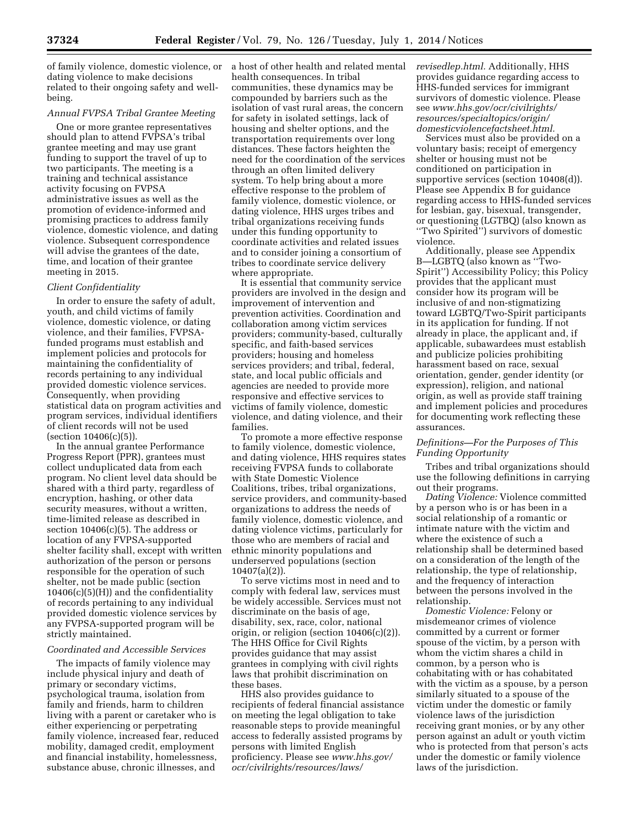of family violence, domestic violence, or dating violence to make decisions related to their ongoing safety and wellbeing.

# *Annual FVPSA Tribal Grantee Meeting*

One or more grantee representatives should plan to attend FVPSA's tribal grantee meeting and may use grant funding to support the travel of up to two participants. The meeting is a training and technical assistance activity focusing on FVPSA administrative issues as well as the promotion of evidence-informed and promising practices to address family violence, domestic violence, and dating violence. Subsequent correspondence will advise the grantees of the date, time, and location of their grantee meeting in 2015.

### *Client Confidentiality*

In order to ensure the safety of adult, youth, and child victims of family violence, domestic violence, or dating violence, and their families, FVPSAfunded programs must establish and implement policies and protocols for maintaining the confidentiality of records pertaining to any individual provided domestic violence services. Consequently, when providing statistical data on program activities and program services, individual identifiers of client records will not be used (section 10406(c)(5)).

In the annual grantee Performance Progress Report (PPR), grantees must collect unduplicated data from each program. No client level data should be shared with a third party, regardless of encryption, hashing, or other data security measures, without a written, time-limited release as described in section  $10406(c)(5)$ . The address or location of any FVPSA-supported shelter facility shall, except with written authorization of the person or persons responsible for the operation of such shelter, not be made public (section  $10406(c)(5)(H)$  and the confidentiality of records pertaining to any individual provided domestic violence services by any FVPSA-supported program will be strictly maintained.

### *Coordinated and Accessible Services*

The impacts of family violence may include physical injury and death of primary or secondary victims, psychological trauma, isolation from family and friends, harm to children living with a parent or caretaker who is either experiencing or perpetrating family violence, increased fear, reduced mobility, damaged credit, employment and financial instability, homelessness, substance abuse, chronic illnesses, and

a host of other health and related mental health consequences. In tribal communities, these dynamics may be compounded by barriers such as the isolation of vast rural areas, the concern for safety in isolated settings, lack of housing and shelter options, and the transportation requirements over long distances. These factors heighten the need for the coordination of the services through an often limited delivery system. To help bring about a more effective response to the problem of family violence, domestic violence, or dating violence, HHS urges tribes and tribal organizations receiving funds under this funding opportunity to coordinate activities and related issues and to consider joining a consortium of tribes to coordinate service delivery where appropriate.

It is essential that community service providers are involved in the design and improvement of intervention and prevention activities. Coordination and collaboration among victim services providers; community-based, culturally specific, and faith-based services providers; housing and homeless services providers; and tribal, federal, state, and local public officials and agencies are needed to provide more responsive and effective services to victims of family violence, domestic violence, and dating violence, and their families.

To promote a more effective response to family violence, domestic violence, and dating violence, HHS requires states receiving FVPSA funds to collaborate with State Domestic Violence Coalitions, tribes, tribal organizations, service providers, and community-based organizations to address the needs of family violence, domestic violence, and dating violence victims, particularly for those who are members of racial and ethnic minority populations and underserved populations (section 10407(a)(2)).

To serve victims most in need and to comply with federal law, services must be widely accessible. Services must not discriminate on the basis of age, disability, sex, race, color, national origin, or religion (section 10406(c)(2)). The HHS Office for Civil Rights provides guidance that may assist grantees in complying with civil rights laws that prohibit discrimination on these bases.

HHS also provides guidance to recipients of federal financial assistance on meeting the legal obligation to take reasonable steps to provide meaningful access to federally assisted programs by persons with limited English proficiency. Please see *[www.hhs.gov/](http://www.hhs.gov/ocr/civilrights/resources/laws/revisedlep.html) [ocr/civilrights/resources/laws/](http://www.hhs.gov/ocr/civilrights/resources/laws/revisedlep.html)*

*[revisedlep.html.](http://www.hhs.gov/ocr/civilrights/resources/laws/revisedlep.html)* Additionally, HHS provides guidance regarding access to HHS-funded services for immigrant survivors of domestic violence. Please see *[www.hhs.gov/ocr/civilrights/](http://www.hhs.gov/ocr/civilrights/resources/specialtopics/origin/domesticviolencefactsheet.html) [resources/specialtopics/origin/](http://www.hhs.gov/ocr/civilrights/resources/specialtopics/origin/domesticviolencefactsheet.html) [domesticviolencefactsheet.html.](http://www.hhs.gov/ocr/civilrights/resources/specialtopics/origin/domesticviolencefactsheet.html)* 

Services must also be provided on a voluntary basis; receipt of emergency shelter or housing must not be conditioned on participation in supportive services (section 10408(d)). Please see Appendix B for guidance regarding access to HHS-funded services for lesbian, gay, bisexual, transgender, or questioning (LGTBQ) (also known as ''Two Spirited'') survivors of domestic violence.

Additionally, please see Appendix B—LGBTQ (also known as ''Two-Spirit'') Accessibility Policy; this Policy provides that the applicant must consider how its program will be inclusive of and non-stigmatizing toward LGBTQ/Two-Spirit participants in its application for funding. If not already in place, the applicant and, if applicable, subawardees must establish and publicize policies prohibiting harassment based on race, sexual orientation, gender, gender identity (or expression), religion, and national origin, as well as provide staff training and implement policies and procedures for documenting work reflecting these assurances.

### *Definitions—For the Purposes of This Funding Opportunity*

Tribes and tribal organizations should use the following definitions in carrying out their programs.

*Dating Violence:* Violence committed by a person who is or has been in a social relationship of a romantic or intimate nature with the victim and where the existence of such a relationship shall be determined based on a consideration of the length of the relationship, the type of relationship, and the frequency of interaction between the persons involved in the relationship.

*Domestic Violence:* Felony or misdemeanor crimes of violence committed by a current or former spouse of the victim, by a person with whom the victim shares a child in common, by a person who is cohabitating with or has cohabitated with the victim as a spouse, by a person similarly situated to a spouse of the victim under the domestic or family violence laws of the jurisdiction receiving grant monies, or by any other person against an adult or youth victim who is protected from that person's acts under the domestic or family violence laws of the jurisdiction.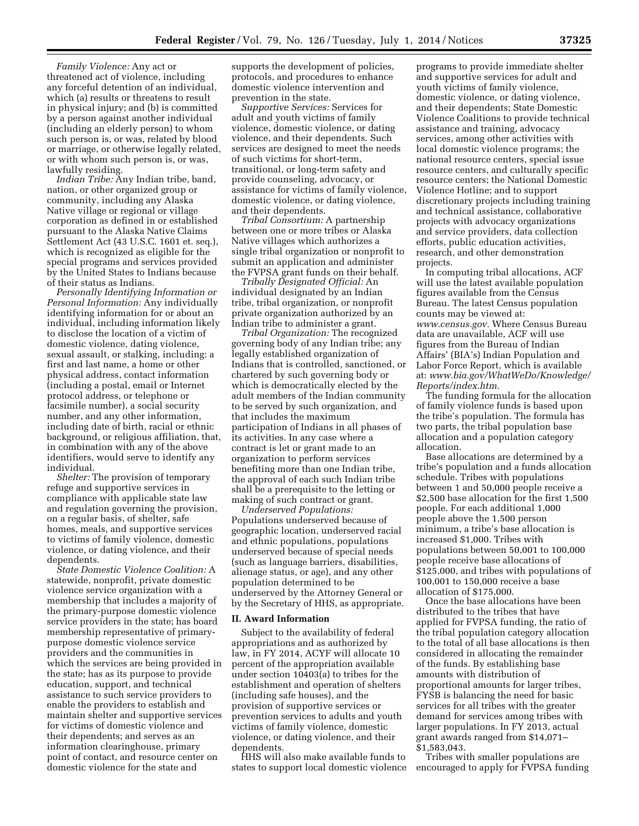*Family Violence:* Any act or threatened act of violence, including any forceful detention of an individual, which (a) results or threatens to result in physical injury; and (b) is committed by a person against another individual (including an elderly person) to whom such person is, or was, related by blood or marriage, or otherwise legally related, or with whom such person is, or was, lawfully residing.

*Indian Tribe:* Any Indian tribe, band, nation, or other organized group or community, including any Alaska Native village or regional or village corporation as defined in or established pursuant to the Alaska Native Claims Settlement Act (43 U.S.C. 1601 et. seq.), which is recognized as eligible for the special programs and services provided by the United States to Indians because of their status as Indians.

*Personally Identifying Information or Personal Information:* Any individually identifying information for or about an individual, including information likely to disclose the location of a victim of domestic violence, dating violence, sexual assault, or stalking, including: a first and last name, a home or other physical address, contact information (including a postal, email or Internet protocol address, or telephone or facsimile number), a social security number, and any other information, including date of birth, racial or ethnic background, or religious affiliation, that, in combination with any of the above identifiers, would serve to identify any individual.

*Shelter:* The provision of temporary refuge and supportive services in compliance with applicable state law and regulation governing the provision, on a regular basis, of shelter, safe homes, meals, and supportive services to victims of family violence, domestic violence, or dating violence, and their dependents.

*State Domestic Violence Coalition:* A statewide, nonprofit, private domestic violence service organization with a membership that includes a majority of the primary-purpose domestic violence service providers in the state; has board membership representative of primarypurpose domestic violence service providers and the communities in which the services are being provided in the state; has as its purpose to provide education, support, and technical assistance to such service providers to enable the providers to establish and maintain shelter and supportive services for victims of domestic violence and their dependents; and serves as an information clearinghouse, primary point of contact, and resource center on domestic violence for the state and

supports the development of policies, protocols, and procedures to enhance domestic violence intervention and prevention in the state.

*Supportive Services:* Services for adult and youth victims of family violence, domestic violence, or dating violence, and their dependents. Such services are designed to meet the needs of such victims for short-term, transitional, or long-term safety and provide counseling, advocacy, or assistance for victims of family violence, domestic violence, or dating violence, and their dependents.

*Tribal Consortium:* A partnership between one or more tribes or Alaska Native villages which authorizes a single tribal organization or nonprofit to submit an application and administer the FVPSA grant funds on their behalf.

*Tribally Designated Official:* An individual designated by an Indian tribe, tribal organization, or nonprofit private organization authorized by an Indian tribe to administer a grant.

*Tribal Organization:* The recognized governing body of any Indian tribe; any legally established organization of Indians that is controlled, sanctioned, or chartered by such governing body or which is democratically elected by the adult members of the Indian community to be served by such organization, and that includes the maximum participation of Indians in all phases of its activities. In any case where a contract is let or grant made to an organization to perform services benefiting more than one Indian tribe, the approval of each such Indian tribe shall be a prerequisite to the letting or making of such contract or grant.

*Underserved Populations:*  Populations underserved because of geographic location, underserved racial and ethnic populations, populations underserved because of special needs (such as language barriers, disabilities, alienage status, or age), and any other population determined to be underserved by the Attorney General or by the Secretary of HHS, as appropriate.

#### **II. Award Information**

Subject to the availability of federal appropriations and as authorized by law, in FY 2014, ACYF will allocate 10 percent of the appropriation available under section 10403(a) to tribes for the establishment and operation of shelters (including safe houses), and the provision of supportive services or prevention services to adults and youth victims of family violence, domestic violence, or dating violence, and their dependents.

HHS will also make available funds to states to support local domestic violence

programs to provide immediate shelter and supportive services for adult and youth victims of family violence, domestic violence, or dating violence, and their dependents; State Domestic Violence Coalitions to provide technical assistance and training, advocacy services, among other activities with local domestic violence programs; the national resource centers, special issue resource centers, and culturally specific resource centers; the National Domestic Violence Hotline; and to support discretionary projects including training and technical assistance, collaborative projects with advocacy organizations and service providers, data collection efforts, public education activities, research, and other demonstration projects.

In computing tribal allocations, ACF will use the latest available population figures available from the Census Bureau. The latest Census population counts may be viewed at: *[www.census.gov.](http://www.census.gov)* Where Census Bureau data are unavailable, ACF will use figures from the Bureau of Indian Affairs' (BIA's) Indian Population and Labor Force Report, which is available at: *[www.bia.gov/WhatWeDo/Knowledge/](http://www.bia.gov/WhatWeDo/Knowledge/Reports/index.htm) [Reports/index.htm.](http://www.bia.gov/WhatWeDo/Knowledge/Reports/index.htm)* 

The funding formula for the allocation of family violence funds is based upon the tribe's population. The formula has two parts, the tribal population base allocation and a population category allocation.

Base allocations are determined by a tribe's population and a funds allocation schedule. Tribes with populations between 1 and 50,000 people receive a \$2,500 base allocation for the first 1,500 people. For each additional 1,000 people above the 1,500 person minimum, a tribe's base allocation is increased \$1,000. Tribes with populations between 50,001 to 100,000 people receive base allocations of \$125,000, and tribes with populations of 100,001 to 150,000 receive a base allocation of \$175,000.

Once the base allocations have been distributed to the tribes that have applied for FVPSA funding, the ratio of the tribal population category allocation to the total of all base allocations is then considered in allocating the remainder of the funds. By establishing base amounts with distribution of proportional amounts for larger tribes, FYSB is balancing the need for basic services for all tribes with the greater demand for services among tribes with larger populations. In FY 2013, actual grant awards ranged from \$14,071– \$1,583,043.

Tribes with smaller populations are encouraged to apply for FVPSA funding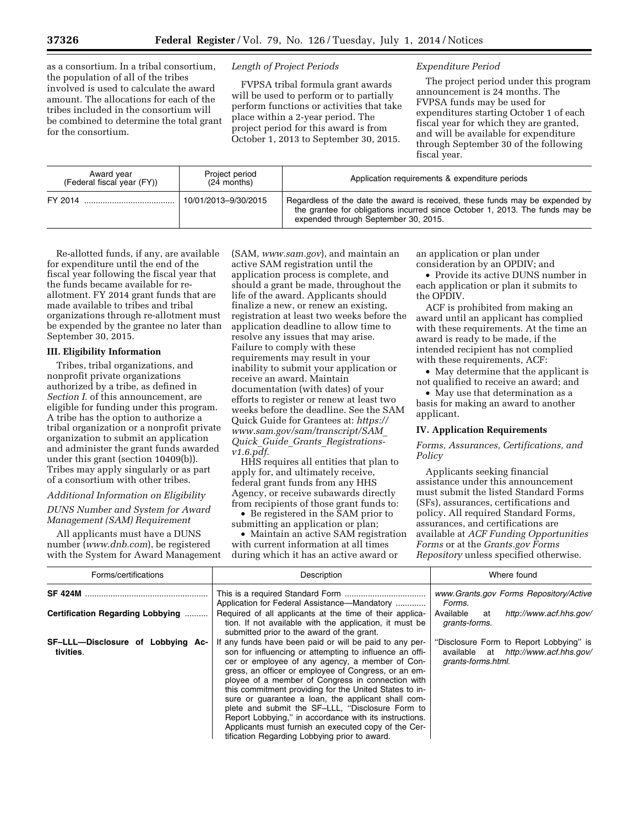as a consortium. In a tribal consortium, the population of all of the tribes involved is used to calculate the award amount. The allocations for each of the tribes included in the consortium will be combined to determine the total grant for the consortium.

### *Length of Project Periods*

FVPSA tribal formula grant awards will be used to perform or to partially perform functions or activities that take place within a 2-year period. The project period for this award is from October 1, 2013 to September 30, 2015.

#### *Expenditure Period*

The project period under this program announcement is 24 months. The FVPSA funds may be used for expenditures starting October 1 of each fiscal year for which they are granted, and will be available for expenditure through September 30 of the following fiscal year.

| Award year<br>(Federal fiscal year (FY)) | Project period<br>$(24$ months) | Application requirements & expenditure periods                                                                                                                                                       |
|------------------------------------------|---------------------------------|------------------------------------------------------------------------------------------------------------------------------------------------------------------------------------------------------|
|                                          | 10/01/2013-9/30/2015            | Regardless of the date the award is received, these funds may be expended by<br>the grantee for obligations incurred since October 1, 2013. The funds may be<br>expended through September 30, 2015. |

Re-allotted funds, if any, are available for expenditure until the end of the fiscal year following the fiscal year that the funds became available for reallotment. FY 2014 grant funds that are made available to tribes and tribal organizations through re-allotment must be expended by the grantee no later than September 30, 2015.

### **III. Eligibility Information**

Tribes, tribal organizations, and nonprofit private organizations authorized by a tribe, as defined in *Section I.* of this announcement, are eligible for funding under this program. A tribe has the option to authorize a tribal organization or a nonprofit private organization to submit an application and administer the grant funds awarded under this grant (section 10409(b)). Tribes may apply singularly or as part of a consortium with other tribes.

# *Additional Information on Eligibility*

## *DUNS Number and System for Award Management (SAM) Requirement*

All applicants must have a DUNS number (*[www.dnb.com](http://www.dnb.com)*), be registered with the System for Award Management

(SAM, *[www.sam.gov](http://www.sam.gov)*), and maintain an active SAM registration until the application process is complete, and should a grant be made, throughout the life of the award. Applicants should finalize a new, or renew an existing, registration at least two weeks before the application deadline to allow time to resolve any issues that may arise. Failure to comply with these requirements may result in your inability to submit your application or receive an award. Maintain documentation (with dates) of your efforts to register or renew at least two weeks before the deadline. See the SAM Quick Guide for Grantees at: *[https://](https://www.sam.gov/sam/transcript/SAM_Quick_Guide_Grants_Registrations-v1.6.pdf) [www.sam.gov/sam/transcript/SAM](https://www.sam.gov/sam/transcript/SAM_Quick_Guide_Grants_Registrations-v1.6.pdf)*\_ *Quick*\_*Guide*\_*Grants*\_*[Registrations](https://www.sam.gov/sam/transcript/SAM_Quick_Guide_Grants_Registrations-v1.6.pdf)[v1.6.pdf.](https://www.sam.gov/sam/transcript/SAM_Quick_Guide_Grants_Registrations-v1.6.pdf)* 

HHS requires all entities that plan to apply for, and ultimately receive, federal grant funds from any HHS Agency, or receive subawards directly from recipients of those grant funds to:

• Be registered in the SAM prior to submitting an application or plan;

• Maintain an active SAM registration with current information at all times during which it has an active award or

an application or plan under consideration by an OPDIV; and

• Provide its active DUNS number in each application or plan it submits to the OPDIV.

ACF is prohibited from making an award until an applicant has complied with these requirements. At the time an award is ready to be made, if the intended recipient has not complied with these requirements, ACF:

• May determine that the applicant is not qualified to receive an award; and

• May use that determination as a basis for making an award to another applicant.

# **IV. Application Requirements**

*Forms, Assurances, Certifications, and Policy* 

Applicants seeking financial assistance under this announcement must submit the listed Standard Forms (SFs), assurances, certifications and policy. All required Standard Forms, assurances, and certifications are available at *ACF Funding Opportunities Forms* or at the *Grants.gov Forms Repository* unless specified otherwise.

| Forms/certifications                           | Description                                                                                                                                                                                                                                                                                                                                                                                                                                                                                                                                                                                                               | Where found                                                                                           |
|------------------------------------------------|---------------------------------------------------------------------------------------------------------------------------------------------------------------------------------------------------------------------------------------------------------------------------------------------------------------------------------------------------------------------------------------------------------------------------------------------------------------------------------------------------------------------------------------------------------------------------------------------------------------------------|-------------------------------------------------------------------------------------------------------|
| <b>SF 424M</b>                                 | Application for Federal Assistance—Mandatory                                                                                                                                                                                                                                                                                                                                                                                                                                                                                                                                                                              | www.Grants.gov Forms Repository/Active<br>Forms.                                                      |
| Certification Regarding Lobbying               | Required of all applicants at the time of their applica-<br>tion. If not available with the application, it must be<br>submitted prior to the award of the grant.                                                                                                                                                                                                                                                                                                                                                                                                                                                         | Available<br>http://www.acf.hhs.gov/<br>at<br>grants-forms.                                           |
| SF-LLL-Disclosure of Lobbying Ac-<br>tivities. | If any funds have been paid or will be paid to any per-<br>son for influencing or attempting to influence an offi-<br>cer or employee of any agency, a member of Con-<br>gress, an officer or employee of Congress, or an em-<br>ployee of a member of Congress in connection with<br>this commitment providing for the United States to in-<br>sure or quarantee a loan, the applicant shall com-<br>plete and submit the SF-LLL, "Disclosure Form to<br>Report Lobbying," in accordance with its instructions.<br>Applicants must furnish an executed copy of the Cer-<br>tification Regarding Lobbying prior to award. | "Disclosure Form to Report Lobbying" is<br>available at http://www.acf.hhs.gov/<br>grants-forms.html. |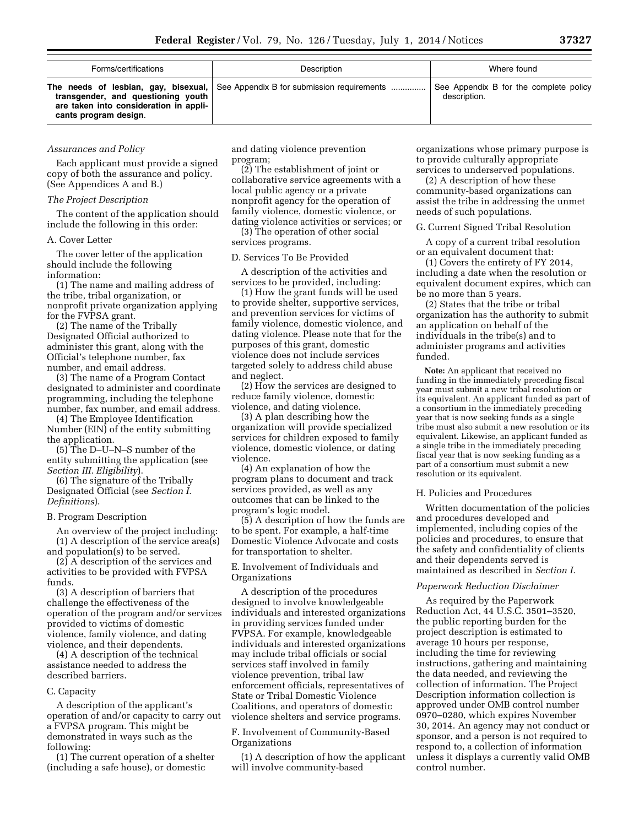| Forms/certifications                                                                                  | Description                                                                     | Where found                                            |  |  |
|-------------------------------------------------------------------------------------------------------|---------------------------------------------------------------------------------|--------------------------------------------------------|--|--|
| transgender, and questioning youth<br>are taken into consideration in appli-<br>cants program design. | The needs of lesbian, gay, bisexual, See Appendix B for submission requirements | See Appendix B for the complete policy<br>description. |  |  |

### *Assurances and Policy*

Each applicant must provide a signed copy of both the assurance and policy. (See Appendices A and B.)

#### *The Project Description*

The content of the application should include the following in this order:

#### A. Cover Letter

The cover letter of the application should include the following information:

(1) The name and mailing address of the tribe, tribal organization, or nonprofit private organization applying for the FVPSA grant.

(2) The name of the Tribally Designated Official authorized to administer this grant, along with the Official's telephone number, fax number, and email address.

(3) The name of a Program Contact designated to administer and coordinate programming, including the telephone number, fax number, and email address.

(4) The Employee Identification Number (EIN) of the entity submitting the application.

(5) The D–U–N–S number of the entity submitting the application (see *Section III. Eligibility*).

(6) The signature of the Tribally Designated Official (see *Section I. Definitions*).

#### B. Program Description

An overview of the project including: (1) A description of the service area(s) and population(s) to be served.

(2) A description of the services and activities to be provided with FVPSA funds.

(3) A description of barriers that challenge the effectiveness of the operation of the program and/or services provided to victims of domestic violence, family violence, and dating violence, and their dependents.

(4) A description of the technical assistance needed to address the described barriers.

#### C. Capacity

A description of the applicant's operation of and/or capacity to carry out a FVPSA program. This might be demonstrated in ways such as the following:

(1) The current operation of a shelter (including a safe house), or domestic

and dating violence prevention program;

(2) The establishment of joint or collaborative service agreements with a local public agency or a private nonprofit agency for the operation of family violence, domestic violence, or dating violence activities or services; or

(3) The operation of other social services programs.

#### D. Services To Be Provided

A description of the activities and services to be provided, including:

(1) How the grant funds will be used to provide shelter, supportive services, and prevention services for victims of family violence, domestic violence, and dating violence. Please note that for the purposes of this grant, domestic violence does not include services targeted solely to address child abuse and neglect.

(2) How the services are designed to reduce family violence, domestic violence, and dating violence.

(3) A plan describing how the organization will provide specialized services for children exposed to family violence, domestic violence, or dating violence.

(4) An explanation of how the program plans to document and track services provided, as well as any outcomes that can be linked to the program's logic model.

(5) A description of how the funds are to be spent. For example, a half-time Domestic Violence Advocate and costs for transportation to shelter.

### E. Involvement of Individuals and Organizations

A description of the procedures designed to involve knowledgeable individuals and interested organizations in providing services funded under FVPSA. For example, knowledgeable individuals and interested organizations may include tribal officials or social services staff involved in family violence prevention, tribal law enforcement officials, representatives of State or Tribal Domestic Violence Coalitions, and operators of domestic violence shelters and service programs.

F. Involvement of Community-Based Organizations

(1) A description of how the applicant will involve community-based

organizations whose primary purpose is to provide culturally appropriate services to underserved populations.

(2) A description of how these community-based organizations can assist the tribe in addressing the unmet needs of such populations.

#### G. Current Signed Tribal Resolution

A copy of a current tribal resolution or an equivalent document that:

(1) Covers the entirety of FY 2014, including a date when the resolution or equivalent document expires, which can be no more than 5 years.

(2) States that the tribe or tribal organization has the authority to submit an application on behalf of the individuals in the tribe(s) and to administer programs and activities funded.

**Note:** An applicant that received no funding in the immediately preceding fiscal year must submit a new tribal resolution or its equivalent. An applicant funded as part of a consortium in the immediately preceding year that is now seeking funds as a single tribe must also submit a new resolution or its equivalent. Likewise, an applicant funded as a single tribe in the immediately preceding fiscal year that is now seeking funding as a part of a consortium must submit a new resolution or its equivalent.

#### H. Policies and Procedures

Written documentation of the policies and procedures developed and implemented, including copies of the policies and procedures, to ensure that the safety and confidentiality of clients and their dependents served is maintained as described in *Section I.* 

## *Paperwork Reduction Disclaimer*

As required by the Paperwork Reduction Act, 44 U.S.C. 3501–3520, the public reporting burden for the project description is estimated to average 10 hours per response, including the time for reviewing instructions, gathering and maintaining the data needed, and reviewing the collection of information. The Project Description information collection is approved under OMB control number 0970–0280, which expires November 30, 2014. An agency may not conduct or sponsor, and a person is not required to respond to, a collection of information unless it displays a currently valid OMB control number.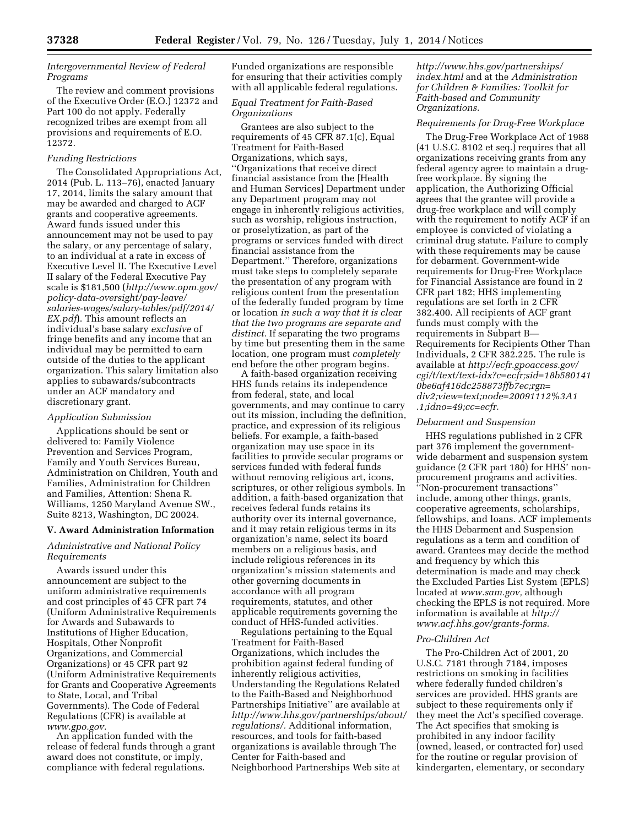### *Intergovernmental Review of Federal Programs*

The review and comment provisions of the Executive Order (E.O.) 12372 and Part 100 do not apply. Federally recognized tribes are exempt from all provisions and requirements of E.O. 12372.

## *Funding Restrictions*

The Consolidated Appropriations Act, 2014 (Pub. L. 113–76), enacted January 17, 2014, limits the salary amount that may be awarded and charged to ACF grants and cooperative agreements. Award funds issued under this announcement may not be used to pay the salary, or any percentage of salary, to an individual at a rate in excess of Executive Level II. The Executive Level II salary of the Federal Executive Pay scale is \$181,500 (*[http://www.opm.gov/](http://www.opm.gov/policy-data-oversight/pay-leave/salaries-wages/salary-tables/pdf/2014/EX.pdf)  [policy-data-oversight/pay-leave/](http://www.opm.gov/policy-data-oversight/pay-leave/salaries-wages/salary-tables/pdf/2014/EX.pdf) [salaries-wages/salary-tables/pdf/2014/](http://www.opm.gov/policy-data-oversight/pay-leave/salaries-wages/salary-tables/pdf/2014/EX.pdf)  [EX.pdf](http://www.opm.gov/policy-data-oversight/pay-leave/salaries-wages/salary-tables/pdf/2014/EX.pdf)*). This amount reflects an individual's base salary *exclusive* of fringe benefits and any income that an individual may be permitted to earn outside of the duties to the applicant organization. This salary limitation also applies to subawards/subcontracts under an ACF mandatory and discretionary grant.

#### *Application Submission*

Applications should be sent or delivered to: Family Violence Prevention and Services Program, Family and Youth Services Bureau, Administration on Children, Youth and Families, Administration for Children and Families, Attention: Shena R. Williams, 1250 Maryland Avenue SW., Suite 8213, Washington, DC 20024.

#### **V. Award Administration Information**

### *Administrative and National Policy Requirements*

Awards issued under this announcement are subject to the uniform administrative requirements and cost principles of 45 CFR part 74 (Uniform Administrative Requirements for Awards and Subawards to Institutions of Higher Education, Hospitals, Other Nonprofit Organizations, and Commercial Organizations) or 45 CFR part 92 (Uniform Administrative Requirements for Grants and Cooperative Agreements to State, Local, and Tribal Governments). The Code of Federal Regulations (CFR) is available at *[www.gpo.gov.](http://www.gpo.gov)* 

An application funded with the release of federal funds through a grant award does not constitute, or imply, compliance with federal regulations.

Funded organizations are responsible for ensuring that their activities comply with all applicable federal regulations.

## *Equal Treatment for Faith-Based Organizations*

Grantees are also subject to the requirements of 45 CFR 87.1(c), Equal Treatment for Faith-Based Organizations, which says, ''Organizations that receive direct financial assistance from the [Health and Human Services] Department under any Department program may not engage in inherently religious activities, such as worship, religious instruction, or proselytization, as part of the programs or services funded with direct financial assistance from the Department.'' Therefore, organizations must take steps to completely separate the presentation of any program with religious content from the presentation of the federally funded program by time or location *in such a way that it is clear that the two programs are separate and distinct.* If separating the two programs by time but presenting them in the same location, one program must *completely*  end before the other program begins.

A faith-based organization receiving HHS funds retains its independence from federal, state, and local governments, and may continue to carry out its mission, including the definition, practice, and expression of its religious beliefs. For example, a faith-based organization may use space in its facilities to provide secular programs or services funded with federal funds without removing religious art, icons, scriptures, or other religious symbols. In addition, a faith-based organization that receives federal funds retains its authority over its internal governance, and it may retain religious terms in its organization's name, select its board members on a religious basis, and include religious references in its organization's mission statements and other governing documents in accordance with all program requirements, statutes, and other applicable requirements governing the conduct of HHS-funded activities.

Regulations pertaining to the Equal Treatment for Faith-Based Organizations, which includes the prohibition against federal funding of inherently religious activities, Understanding the Regulations Related to the Faith-Based and Neighborhood Partnerships Initiative'' are available at *[http://www.hhs.gov/partnerships/about/](http://www.hhs.gov/partnerships/about/regulations/) [regulations/.](http://www.hhs.gov/partnerships/about/regulations/)* Additional information, resources, and tools for faith-based organizations is available through The Center for Faith-based and Neighborhood Partnerships Web site at

*[http://www.hhs.gov/partnerships/](http://www.hhs.gov/partnerships/index.html) [index.html](http://www.hhs.gov/partnerships/index.html)* and at the *Administration for Children & Families: Toolkit for Faith-based and Community Organizations.* 

## *Requirements for Drug-Free Workplace*

The Drug-Free Workplace Act of 1988 (41 U.S.C. 8102 et seq.) requires that all organizations receiving grants from any federal agency agree to maintain a drugfree workplace. By signing the application, the Authorizing Official agrees that the grantee will provide a drug-free workplace and will comply with the requirement to notify ACF if an employee is convicted of violating a criminal drug statute. Failure to comply with these requirements may be cause for debarment. Government-wide requirements for Drug-Free Workplace for Financial Assistance are found in 2 CFR part 182; HHS implementing regulations are set forth in 2 CFR 382.400. All recipients of ACF grant funds must comply with the requirements in Subpart B— Requirements for Recipients Other Than Individuals, 2 CFR 382.225. The rule is available at *[http://ecfr.gpoaccess.gov/](http://ecfr.gpoaccess.gov/cgi/t/text/text-idx?c=ecfr;sid=18b5801410be6af416dc258873ffb7ec;rgn=div2;view=text;node=20091112%3A1.1;idno=49;cc=ecfr)  [cgi/t/text/text-idx?c=ecfr;sid=18b580141](http://ecfr.gpoaccess.gov/cgi/t/text/text-idx?c=ecfr;sid=18b5801410be6af416dc258873ffb7ec;rgn=div2;view=text;node=20091112%3A1.1;idno=49;cc=ecfr) [0be6af416dc258873ffb7ec;rgn=](http://ecfr.gpoaccess.gov/cgi/t/text/text-idx?c=ecfr;sid=18b5801410be6af416dc258873ffb7ec;rgn=div2;view=text;node=20091112%3A1.1;idno=49;cc=ecfr) [div2;view=text;node=20091112%3A1](http://ecfr.gpoaccess.gov/cgi/t/text/text-idx?c=ecfr;sid=18b5801410be6af416dc258873ffb7ec;rgn=div2;view=text;node=20091112%3A1.1;idno=49;cc=ecfr) [.1;idno=49;cc=ecfr.](http://ecfr.gpoaccess.gov/cgi/t/text/text-idx?c=ecfr;sid=18b5801410be6af416dc258873ffb7ec;rgn=div2;view=text;node=20091112%3A1.1;idno=49;cc=ecfr)* 

### *Debarment and Suspension*

HHS regulations published in 2 CFR part 376 implement the governmentwide debarment and suspension system guidance (2 CFR part 180) for HHS' nonprocurement programs and activities. ''Non-procurement transactions'' include, among other things, grants, cooperative agreements, scholarships, fellowships, and loans. ACF implements the HHS Debarment and Suspension regulations as a term and condition of award. Grantees may decide the method and frequency by which this determination is made and may check the Excluded Parties List System (EPLS) located at *[www.sam.gov,](http://www.sam.gov)* although checking the EPLS is not required. More information is available at *[http://](http://www.acf.hhs.gov/grants-forms)  [www.acf.hhs.gov/grants-forms.](http://www.acf.hhs.gov/grants-forms)* 

#### *Pro-Children Act*

The Pro-Children Act of 2001, 20 U.S.C. 7181 through 7184, imposes restrictions on smoking in facilities where federally funded children's services are provided. HHS grants are subject to these requirements only if they meet the Act's specified coverage. The Act specifies that smoking is prohibited in any indoor facility (owned, leased, or contracted for) used for the routine or regular provision of kindergarten, elementary, or secondary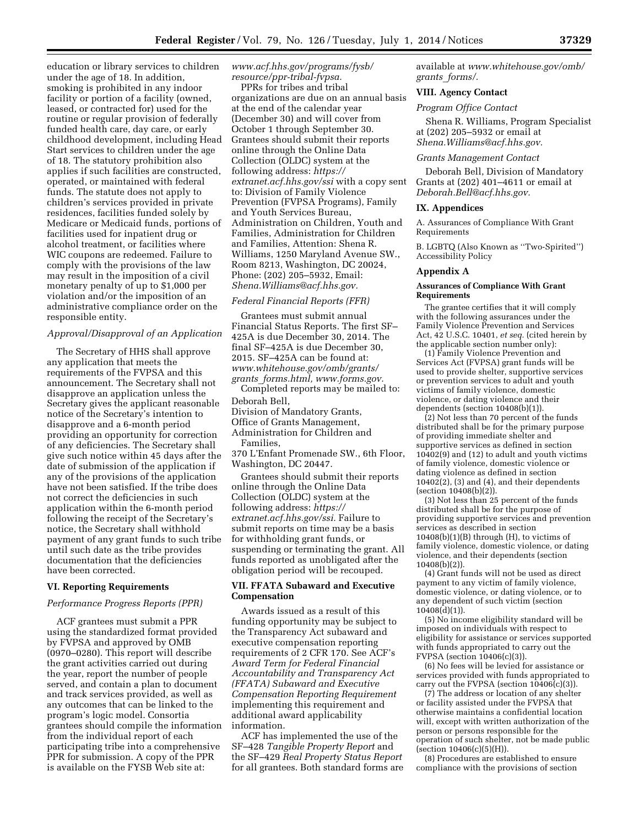education or library services to children under the age of 18. In addition, smoking is prohibited in any indoor facility or portion of a facility (owned, leased, or contracted for) used for the routine or regular provision of federally funded health care, day care, or early childhood development, including Head Start services to children under the age of 18. The statutory prohibition also applies if such facilities are constructed, operated, or maintained with federal funds. The statute does not apply to children's services provided in private residences, facilities funded solely by Medicare or Medicaid funds, portions of facilities used for inpatient drug or alcohol treatment, or facilities where WIC coupons are redeemed. Failure to comply with the provisions of the law may result in the imposition of a civil monetary penalty of up to \$1,000 per violation and/or the imposition of an administrative compliance order on the responsible entity.

### *Approval/Disapproval of an Application*

The Secretary of HHS shall approve any application that meets the requirements of the FVPSA and this announcement. The Secretary shall not disapprove an application unless the Secretary gives the applicant reasonable notice of the Secretary's intention to disapprove and a 6-month period providing an opportunity for correction of any deficiencies. The Secretary shall give such notice within 45 days after the date of submission of the application if any of the provisions of the application have not been satisfied. If the tribe does not correct the deficiencies in such application within the 6-month period following the receipt of the Secretary's notice, the Secretary shall withhold payment of any grant funds to such tribe until such date as the tribe provides documentation that the deficiencies have been corrected.

#### **VI. Reporting Requirements**

### *Performance Progress Reports (PPR)*

ACF grantees must submit a PPR using the standardized format provided by FVPSA and approved by OMB (0970–0280). This report will describe the grant activities carried out during the year, report the number of people served, and contain a plan to document and track services provided, as well as any outcomes that can be linked to the program's logic model. Consortia grantees should compile the information from the individual report of each participating tribe into a comprehensive PPR for submission. A copy of the PPR is available on the FYSB Web site at:

*[www.acf.hhs.gov/programs/fysb/](http://www.acf.hhs.gov/programs/fysb/resource/ppr-tribal-fvpsa)  [resource/ppr-tribal-fvpsa.](http://www.acf.hhs.gov/programs/fysb/resource/ppr-tribal-fvpsa)* 

PPRs for tribes and tribal organizations are due on an annual basis at the end of the calendar year (December 30) and will cover from October 1 through September 30. Grantees should submit their reports online through the Online Data Collection (OLDC) system at the following address: *[https://](https://extranet.acf.hhs.gov/ssi)  [extranet.acf.hhs.gov/ssi](https://extranet.acf.hhs.gov/ssi)* with a copy sent to: Division of Family Violence Prevention (FVPSA Programs), Family and Youth Services Bureau, Administration on Children, Youth and Families, Administration for Children and Families, Attention: Shena R. Williams, 1250 Maryland Avenue SW., Room 8213, Washington, DC 20024, Phone: (202) 205–5932, Email: *[Shena.Williams@acf.hhs.gov.](mailto:Shena.Williams@acf.hhs.gov)* 

#### *Federal Financial Reports (FFR)*

Grantees must submit annual Financial Status Reports. The first SF– 425A is due December 30, 2014. The final SF–425A is due December 30, 2015. SF–425A can be found at: *[www.whitehouse.gov/omb/grants/](http://www.whitehouse.gov/omb/grants/grants_forms.html) grants*\_*[forms.html,](http://www.whitehouse.gov/omb/grants/grants_forms.html) [www.forms.gov.](http://www.forms.gov)* 

Completed reports may be mailed to: Deborah Bell,

Division of Mandatory Grants,

Office of Grants Management,

Administration for Children and Families,

370 L'Enfant Promenade SW., 6th Floor, Washington, DC 20447.

Grantees should submit their reports online through the Online Data Collection (OLDC) system at the following address: *[https://](https://extranet.acf.hhs.gov/ssi) [extranet.acf.hhs.gov/ssi.](https://extranet.acf.hhs.gov/ssi)* Failure to submit reports on time may be a basis for withholding grant funds, or suspending or terminating the grant. All funds reported as unobligated after the obligation period will be recouped.

### **VII. FFATA Subaward and Executive Compensation**

Awards issued as a result of this funding opportunity may be subject to the Transparency Act subaward and executive compensation reporting requirements of 2 CFR 170. See ACF's *Award Term for Federal Financial Accountability and Transparency Act (FFATA) Subaward and Executive Compensation Reporting Requirement*  implementing this requirement and additional award applicability information.

ACF has implemented the use of the SF–428 *Tangible Property Report* and the SF–429 *Real Property Status Report*  for all grantees. Both standard forms are available at *[www.whitehouse.gov/omb/](http://www.whitehouse.gov/omb/grants_forms/) grants*\_*[forms/.](http://www.whitehouse.gov/omb/grants_forms/)* 

#### **VIII. Agency Contact**

### *Program Office Contact*

Shena R. Williams, Program Specialist at (202) 205–5932 or email at *[Shena.Williams@acf.hhs.gov.](mailto:Shena.Williams@acf.hhs.gov)* 

#### *Grants Management Contact*

Deborah Bell, Division of Mandatory Grants at (202) 401–4611 or email at *[Deborah.Bell@acf.hhs.gov.](mailto:Deborah.Bell@acf.hhs.gov)* 

#### **IX. Appendices**

A. Assurances of Compliance With Grant Requirements

B. LGBTQ (Also Known as ''Two-Spirited'') Accessibility Policy

#### **Appendix A**

#### **Assurances of Compliance With Grant Requirements**

The grantee certifies that it will comply with the following assurances under the Family Violence Prevention and Services Act, 42 U.S.C. 10401, *et seq.* (cited herein by the applicable section number only):

(1) Family Violence Prevention and Services Act (FVPSA) grant funds will be used to provide shelter, supportive services or prevention services to adult and youth victims of family violence, domestic violence, or dating violence and their dependents (section 10408(b)(1)).

(2) Not less than 70 percent of the funds distributed shall be for the primary purpose of providing immediate shelter and supportive services as defined in section 10402(9) and (12) to adult and youth victims of family violence, domestic violence or dating violence as defined in section  $10402(2)$ , (3) and (4), and their dependents (section 10408(b)(2)).

(3) Not less than 25 percent of the funds distributed shall be for the purpose of providing supportive services and prevention services as described in section  $10408(b)(1)(B)$  through  $(H)$ , to victims of family violence, domestic violence, or dating violence, and their dependents (section 10408(b)(2)).

(4) Grant funds will not be used as direct payment to any victim of family violence, domestic violence, or dating violence, or to any dependent of such victim (section  $10408\text{(d)}(1)$ ).

(5) No income eligibility standard will be imposed on individuals with respect to eligibility for assistance or services supported with funds appropriated to carry out the FVPSA (section 10406(c)(3)).

(6) No fees will be levied for assistance or services provided with funds appropriated to carry out the FVPSA (section 10406(c)(3)).

(7) The address or location of any shelter or facility assisted under the FVPSA that otherwise maintains a confidential location will, except with written authorization of the person or persons responsible for the operation of such shelter, not be made public (section 10406(c)(5)(H)).

(8) Procedures are established to ensure compliance with the provisions of section